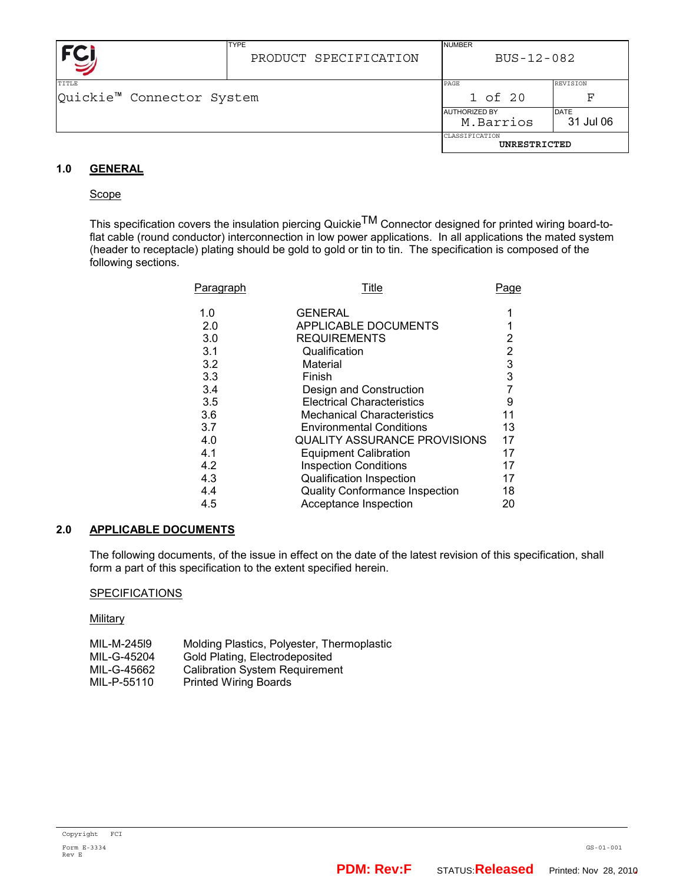|                           | <b>TYPE</b><br>PRODUCT SPECIFICATION | <b>NUMBER</b><br>BUS-12-082    |                 |
|---------------------------|--------------------------------------|--------------------------------|-----------------|
| TITLE                     |                                      | PAGE                           | <b>REVISION</b> |
| Quickie™ Connector System |                                      | 1 of 20                        | F               |
|                           |                                      | <b>AUTHORIZED BY</b>           | <b>DATE</b>     |
|                           |                                      | M.Barrios                      | 31 Jul 06       |
|                           |                                      | CLASSIFICATION<br>UNRESTRICTED |                 |

# **1.0 GENERAL**

### **Scope**

This specification covers the insulation piercing Quickie<sup>TM</sup> Connector designed for printed wiring board-toflat cable (round conductor) interconnection in low power applications. In all applications the mated system (header to receptacle) plating should be gold to gold or tin to tin. The specification is composed of the following sections.

| <u>Paragraph</u> | Title                                 | <u>Page</u> |
|------------------|---------------------------------------|-------------|
| 1.0              | GENERAL                               |             |
| 2.0              | APPLICABLE DOCUMENTS                  |             |
| 3.0              | <b>REQUIREMENTS</b>                   | 2           |
| 3.1              | Qualification                         | 2           |
| 3.2              | Material                              | 3           |
| 3.3              | Finish                                | 3           |
| 3.4              | Design and Construction               |             |
| 3.5              | <b>Electrical Characteristics</b>     | 9           |
| 3.6              | <b>Mechanical Characteristics</b>     | 11          |
| 3.7              | <b>Environmental Conditions</b>       | 13          |
| 4.0              | <b>QUALITY ASSURANCE PROVISIONS</b>   | 17          |
| 4.1              | <b>Equipment Calibration</b>          | 17          |
| 4.2              | <b>Inspection Conditions</b>          | 17          |
| 4.3              | <b>Qualification Inspection</b>       | 17          |
| 4.4              | <b>Quality Conformance Inspection</b> | 18          |
| 4.5              | Acceptance Inspection                 | 20          |

### **2.0 APPLICABLE DOCUMENTS**

The following documents, of the issue in effect on the date of the latest revision of this specification, shall form a part of this specification to the extent specified herein.

### **SPECIFICATIONS**

**Military** 

| MIL-M-24519 | Molding Plastics, Polyester, Thermoplastic |
|-------------|--------------------------------------------|
| MIL-G-45204 | Gold Plating, Electrodeposited             |
| MIL-G-45662 | <b>Calibration System Requirement</b>      |
| MIL-P-55110 | <b>Printed Wiring Boards</b>               |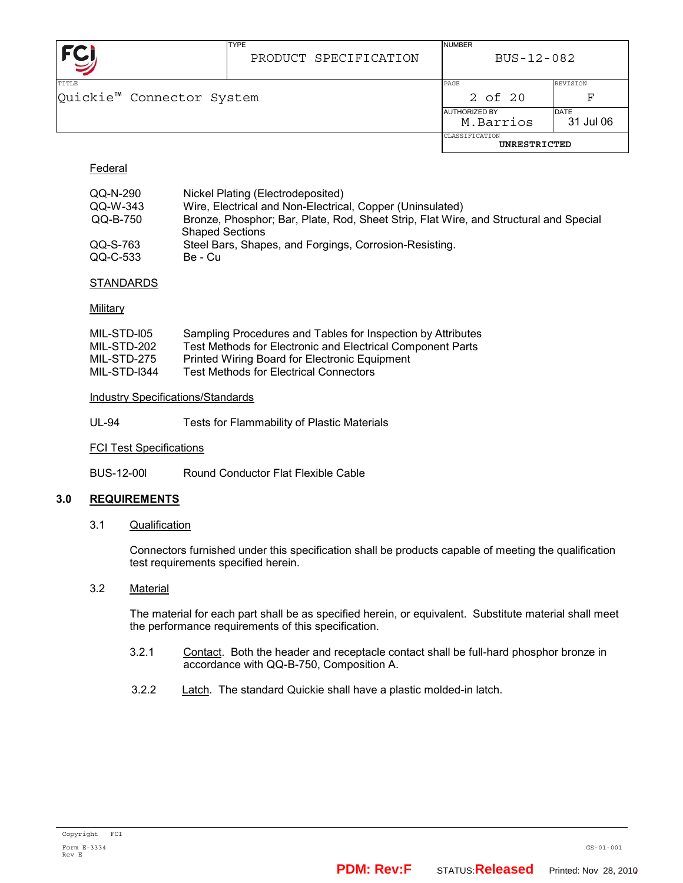|                                           | <b>TYPE</b><br>PRODUCT SPECIFICATION | <b>NUMBER</b><br>BUS-12-082    |                          |
|-------------------------------------------|--------------------------------------|--------------------------------|--------------------------|
| <b>TITLE</b><br>Quickie™ Connector System |                                      | PAGE<br>2 of 20                | REVISION<br>F            |
|                                           | <b>AUTHORIZED BY</b>                 | M.Barrios                      | <b>DATE</b><br>31 Jul 06 |
|                                           |                                      | CLASSIFICATION<br>UNRESTRICTED |                          |

# Federal

| QQ-N-290 | Nickel Plating (Electrodeposited)                                                     |
|----------|---------------------------------------------------------------------------------------|
| QQ-W-343 | Wire, Electrical and Non-Electrical, Copper (Uninsulated)                             |
| QQ-B-750 | Bronze, Phosphor; Bar, Plate, Rod, Sheet Strip, Flat Wire, and Structural and Special |
|          | <b>Shaped Sections</b>                                                                |
| QQ-S-763 | Steel Bars, Shapes, and Forgings, Corrosion-Resisting.                                |
| QQ-C-533 | Be - Cu                                                                               |

### STANDARDS

### **Military**

| MIL-STD-I05  | Sampling Procedures and Tables for Inspection by Attributes |
|--------------|-------------------------------------------------------------|
| MIL-STD-202  | Test Methods for Electronic and Electrical Component Parts  |
| MIL-STD-275  | Printed Wiring Board for Electronic Equipment               |
| MIL-STD-I344 | Test Methods for Electrical Connectors                      |

### Industry Specifications/Standards

UL-94 Tests for Flammability of Plastic Materials

#### FCI Test Specifications

BUS-12-00l Round Conductor Flat Flexible Cable

### **3.0 REQUIREMENTS**

### 3.1 Qualification

Connectors furnished under this specification shall be products capable of meeting the qualification test requirements specified herein.

# 3.2 Material

The material for each part shall be as specified herein, or equivalent. Substitute material shall meet the performance requirements of this specification.

- 3.2.1 Contact. Both the header and receptacle contact shall be full-hard phosphor bronze in accordance with QQ-B-750, Composition A.
- 3.2.2 Latch. The standard Quickie shall have a plastic molded-in latch.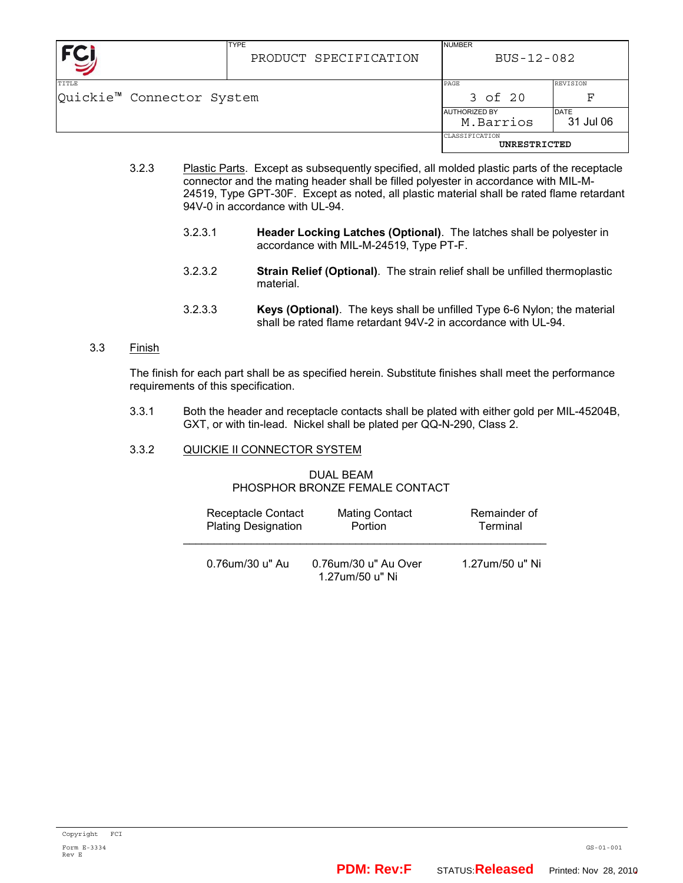|                                                | <b>TYPE</b><br>PRODUCT SPECIFICATION | <b>NUMBER</b><br>BUS-12-082       |                          |
|------------------------------------------------|--------------------------------------|-----------------------------------|--------------------------|
| TITLE<br>Quickie <sup>™</sup> Connector System |                                      | PAGE<br>3 of 20                   | <b>REVISION</b><br>F     |
|                                                |                                      | <b>AUTHORIZED BY</b><br>M.Barrios | <b>DATE</b><br>31 Jul 06 |
|                                                |                                      | CLASSIFICATION<br>UNRESTRICTED    |                          |

- 3.2.3 Plastic Parts. Except as subsequently specified, all molded plastic parts of the receptacle connector and the mating header shall be filled polyester in accordance with MIL-M-24519, Type GPT-30F. Except as noted, all plastic material shall be rated flame retardant 94V-0 in accordance with UL-94.
	- 3.2.3.1 **Header Locking Latches (Optional)**. The latches shall be polyester in accordance with MIL-M-24519, Type PT-F.
	- 3.2.3.2 **Strain Relief (Optional)**. The strain relief shall be unfilled thermoplastic material.
	- 3.2.3.3 **Keys (Optional)**. The keys shall be unfilled Type 6-6 Nylon; the material shall be rated flame retardant 94V-2 in accordance with UL-94.

### 3.3 Finish

The finish for each part shall be as specified herein. Substitute finishes shall meet the performance requirements of this specification.

3.3.1 Both the header and receptacle contacts shall be plated with either gold per MIL-45204B, GXT, or with tin-lead. Nickel shall be plated per QQ-N-290, Class 2.

### 3.3.2 QUICKIE II CONNECTOR SYSTEM

#### DUAL BEAM PHOSPHOR BRONZE FEMALE CONTACT

| Receptacle Contact         | <b>Mating Contact</b>                   | Remainder of |
|----------------------------|-----------------------------------------|--------------|
| <b>Plating Designation</b> | <b>Portion</b>                          | Terminal     |
| 0.76um/30 u" Au            | 0.76um/30 u" Au Over<br>1.27um/50 u" Ni |              |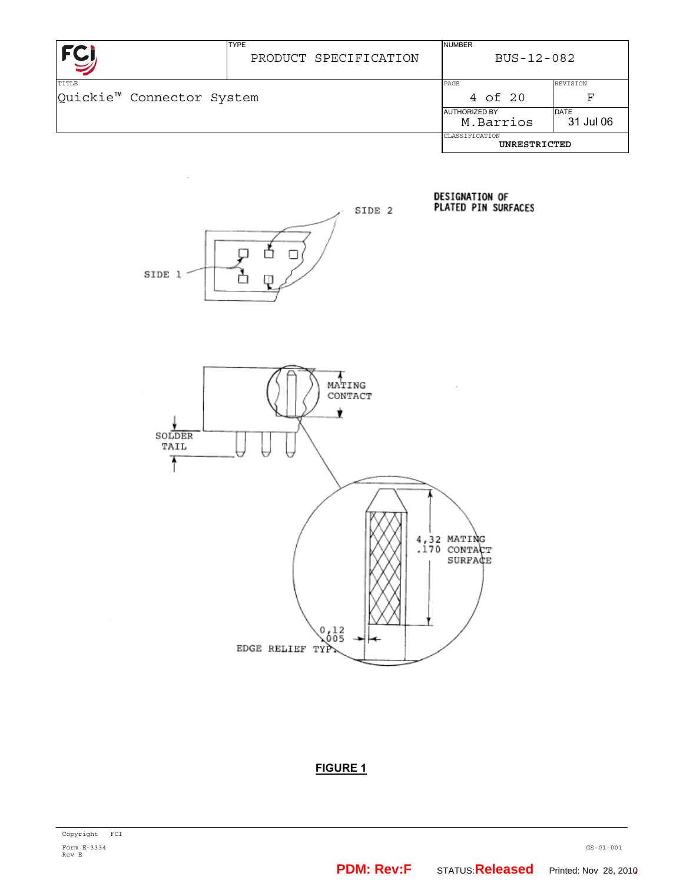|                                                | <b>TYPE</b><br>PRODUCT SPECIFICATION | <b>NUMBER</b><br>BUS-12-082                                   |                      |
|------------------------------------------------|--------------------------------------|---------------------------------------------------------------|----------------------|
| TITLE<br>Quickie <sup>™</sup> Connector System |                                      | PAGE<br>4 of 20                                               | <b>REVISION</b><br>F |
|                                                |                                      | <b>DATE</b><br><b>AUTHORIZED BY</b><br>M.Barrios<br>31 Jul 06 |                      |
|                                                |                                      | CLASSIFICATION<br>UNRESTRICTED                                |                      |



DESIGNATION OF<br>PLATED PIN SURFACES



# **FIGURE 1**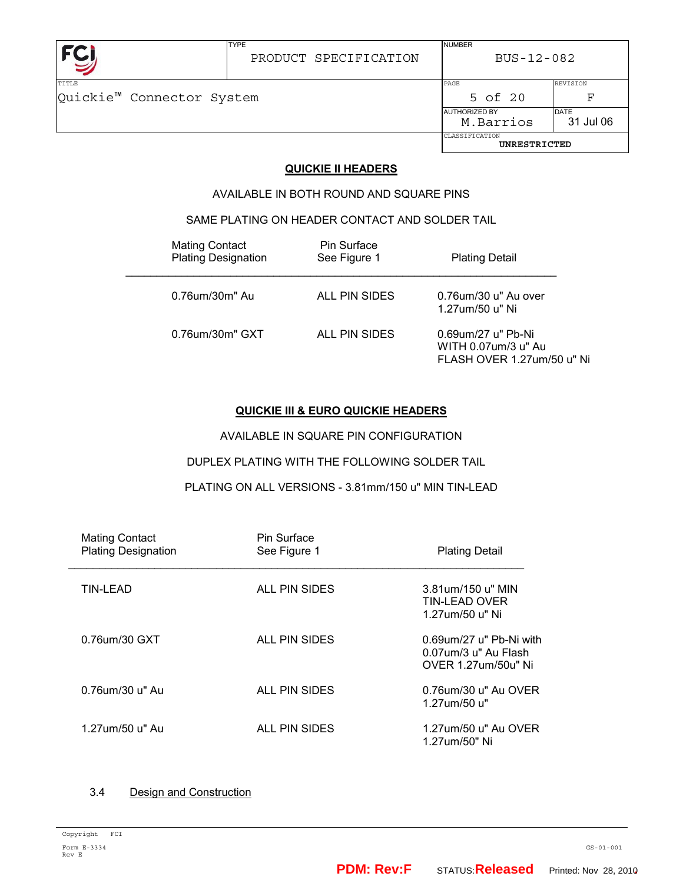

BUS-12-082

NUMBER

TYPE

| TTTLE                     |  | PAGE                 |              | REVISION                 |
|---------------------------|--|----------------------|--------------|--------------------------|
| Quickie™ Connector System |  |                      | 5 of 20      | ਸ਼                       |
|                           |  | <b>AUTHORIZED BY</b> | M.Barrios    | <b>DATE</b><br>31 Jul 06 |
|                           |  | CLASSIFICATION       | UNRESTRICTED |                          |
|                           |  |                      |              |                          |

# **QUICKIE II HEADERS**

AVAILABLE IN BOTH ROUND AND SQUARE PINS

# SAME PLATING ON HEADER CONTACT AND SOLDER TAIL

| <b>Mating Contact</b><br><b>Plating Designation</b> | Pin Surface<br>See Figure 1 | <b>Plating Detail</b>                                                   |
|-----------------------------------------------------|-----------------------------|-------------------------------------------------------------------------|
| 0.76um/30m" Au                                      | ALL PIN SIDES               | 0.76um/30 u" Au over<br>1.27um/50 u" Ni                                 |
| 0.76um/30m" GXT                                     | ALL PIN SIDES               | 0.69um/27 u" Pb-Ni<br>WITH 0.07um/3 u" Au<br>FLASH OVER 1.27um/50 u" Ni |

# **QUICKIE III & EURO QUICKIE HEADERS**

AVAILABLE IN SQUARE PIN CONFIGURATION

# DUPLEX PLATING WITH THE FOLLOWING SOLDER TAIL

PLATING ON ALL VERSIONS - 3.81mm/150 u" MIN TIN-LEAD

| <b>Mating Contact</b><br><b>Plating Designation</b> | Pin Surface<br>See Figure 1 | <b>Plating Detail</b>                                                  |
|-----------------------------------------------------|-----------------------------|------------------------------------------------------------------------|
| TIN-LEAD                                            | ALL PIN SIDES               | 3.81um/150 u" MIN<br>TIN-LEAD OVER<br>1.27um/50 u" Ni                  |
| 0.76um/30 GXT                                       | ALL PIN SIDES               | 0.69um/27 u" Pb-Ni with<br>0.07um/3 u" Au Flash<br>OVER 1.27um/50u" Ni |
| 0.76um/30 u" Au                                     | ALL PIN SIDES               | 0.76um/30 u" Au OVER<br>1.27um/50 u"                                   |
| 1.27um/50 u" Au                                     | ALL PIN SIDES               | 1.27um/50 u" Au OVER<br>1.27um/50" Ni                                  |

# 3.4 Design and Construction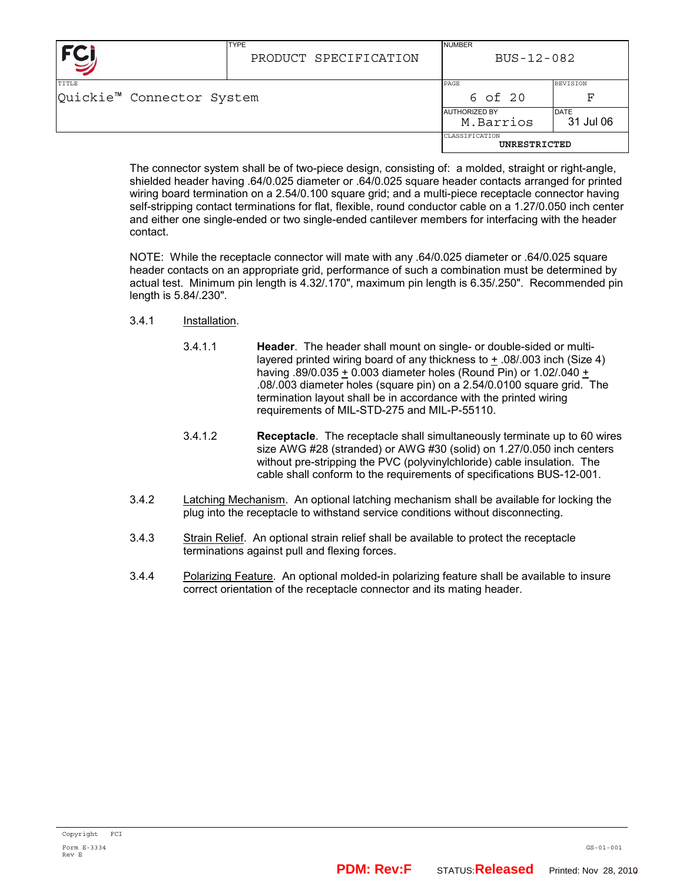|                                           | <b>TYPE</b><br>PRODUCT SPECIFICATION | <b>NUMBER</b><br>BUS-12-082       |                          |
|-------------------------------------------|--------------------------------------|-----------------------------------|--------------------------|
| <b>TITLE</b><br>Quickie™ Connector System |                                      | PAGE<br>6 of 20                   | <b>REVISION</b><br>F     |
|                                           |                                      | <b>AUTHORIZED BY</b><br>M.Barrios | <b>DATE</b><br>31 Jul 06 |
|                                           |                                      | CLASSIFICATION<br>UNRESTRICTED    |                          |

The connector system shall be of two-piece design, consisting of: a molded, straight or right-angle, shielded header having .64/0.025 diameter or .64/0.025 square header contacts arranged for printed wiring board termination on a 2.54/0.100 square grid; and a multi-piece receptacle connector having self-stripping contact terminations for flat, flexible, round conductor cable on a 1.27/0.050 inch center and either one single-ended or two single-ended cantilever members for interfacing with the header contact.

NOTE: While the receptacle connector will mate with any .64/0.025 diameter or .64/0.025 square header contacts on an appropriate grid, performance of such a combination must be determined by actual test. Minimum pin length is 4.32/.170", maximum pin length is 6.35/.250". Recommended pin length is 5.84/.230".

- 3.4.1 Installation.
	- 3.4.1.1 **Header**. The header shall mount on single- or double-sided or multilayered printed wiring board of any thickness to + .08/.003 inch (Size 4) having .89/0.035 + 0.003 diameter holes (Round Pin) or 1.02/.040 + .08/.003 diameter holes (square pin) on a 2.54/0.0100 square grid. The termination layout shall be in accordance with the printed wiring requirements of MIL-STD-275 and MIL-P-55110.
	- 3.4.1.2 **Receptacle**. The receptacle shall simultaneously terminate up to 60 wires size AWG #28 (stranded) or AWG #30 (solid) on 1.27/0.050 inch centers without pre-stripping the PVC (polyvinylchloride) cable insulation. The cable shall conform to the requirements of specifications BUS-12-001.
- 3.4.2 Latching Mechanism. An optional latching mechanism shall be available for locking the plug into the receptacle to withstand service conditions without disconnecting.
- 3.4.3 Strain Relief. An optional strain relief shall be available to protect the receptacle terminations against pull and flexing forces.
- 3.4.4 Polarizing Feature. An optional molded-in polarizing feature shall be available to insure correct orientation of the receptacle connector and its mating header.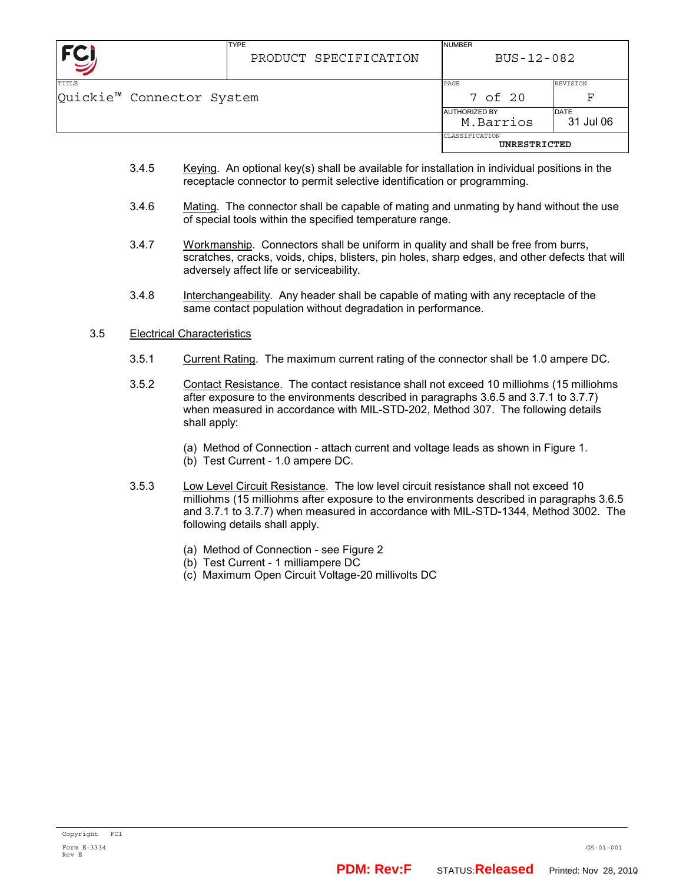|                                           | <b>TYPE</b><br>PRODUCT SPECIFICATION | <b>NUMBER</b><br>BUS-12-082       |                          |
|-------------------------------------------|--------------------------------------|-----------------------------------|--------------------------|
| <b>TITLE</b><br>Quickie™ Connector System |                                      | PAGE<br>7 of 20                   | <b>REVISION</b><br>F     |
|                                           |                                      | <b>AUTHORIZED BY</b><br>M.Barrios | <b>DATE</b><br>31 Jul 06 |
|                                           |                                      | CLASSIFICATION<br>UNRESTRICTED    |                          |

- 3.4.5 Keying. An optional key(s) shall be available for installation in individual positions in the receptacle connector to permit selective identification or programming.
- 3.4.6 Mating. The connector shall be capable of mating and unmating by hand without the use of special tools within the specified temperature range.
- 3.4.7 Workmanship. Connectors shall be uniform in quality and shall be free from burrs, scratches, cracks, voids, chips, blisters, pin holes, sharp edges, and other defects that will adversely affect life or serviceability.
- 3.4.8 Interchangeability. Any header shall be capable of mating with any receptacle of the same contact population without degradation in performance.

### 3.5 Electrical Characteristics

- 3.5.1 Current Rating. The maximum current rating of the connector shall be 1.0 ampere DC.
- 3.5.2 Contact Resistance. The contact resistance shall not exceed 10 milliohms (15 milliohms after exposure to the environments described in paragraphs 3.6.5 and 3.7.1 to 3.7.7) when measured in accordance with MIL-STD-202, Method 307. The following details shall apply:
	- (a) Method of Connection attach current and voltage leads as shown in Figure 1.
	- (b) Test Current 1.0 ampere DC.
- 3.5.3 Low Level Circuit Resistance. The low level circuit resistance shall not exceed 10 milliohms (15 milliohms after exposure to the environments described in paragraphs 3.6.5 and 3.7.1 to 3.7.7) when measured in accordance with MIL-STD-1344, Method 3002. The following details shall apply.
	- (a) Method of Connection see Figure 2
	- (b) Test Current 1 milliampere DC
	- (c) Maximum Open Circuit Voltage-20 millivolts DC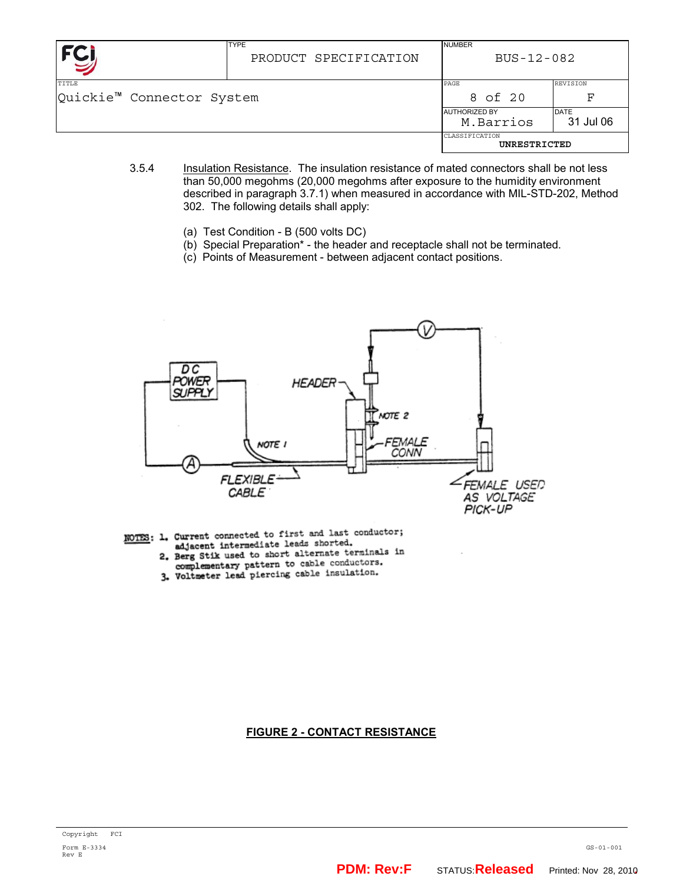| <b>FC</b>                                       | <b>TYPE</b><br>PRODUCT SPECIFICATION | <b>NUMBER</b><br>BUS-12-082       |                          |
|-------------------------------------------------|--------------------------------------|-----------------------------------|--------------------------|
| TTTLE.<br>Quickie <sup>™</sup> Connector System |                                      | PAGE<br>8 of 20                   | <b>REVISION</b><br>F     |
|                                                 |                                      | <b>AUTHORIZED BY</b><br>M.Barrios | <b>DATE</b><br>31 Jul 06 |
|                                                 |                                      | CLASSIFICATION<br>UNRESTRICTED    |                          |

- 3.5.4 Insulation Resistance. The insulation resistance of mated connectors shall be not less than 50,000 megohms (20,000 megohms after exposure to the humidity environment described in paragraph 3.7.1) when measured in accordance with MIL-STD-202, Method 302. The following details shall apply:
	- (a) Test Condition B (500 volts DC)
	- (b) Special Preparation\* the header and receptacle shall not be terminated.
	- (c) Points of Measurement between adjacent contact positions.



- NOTES: 1. Current connected to first and last conductor; adjacent intermediate leads shorted.
	- adjacent intermediate leads shorted.<br>2. Berg Stik used to short alternate terminals in
	- e, Berg Stik used to short distribute conductors.<br>3. Voltmeter lead piercing cable insulation.

# **FIGURE 2 - CONTACT RESISTANCE**

GS-01-001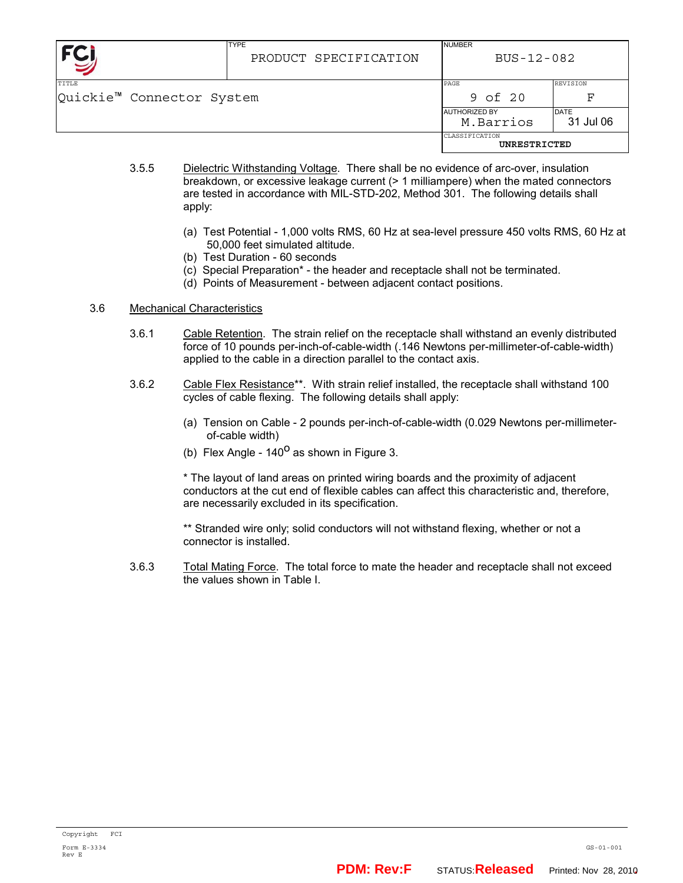|                                                | <b>TYPE</b><br>PRODUCT SPECIFICATION | <b>NUMBER</b><br>BUS-12-082       |                          |
|------------------------------------------------|--------------------------------------|-----------------------------------|--------------------------|
| TITLE<br>Quickie <sup>™</sup> Connector System |                                      | PAGE<br>9 of 20                   | <b>REVISION</b><br>F     |
|                                                |                                      | <b>AUTHORIZED BY</b><br>M.Barrios | <b>DATE</b><br>31 Jul 06 |
|                                                |                                      | CLASSIFICATION<br>UNRESTRICTED    |                          |

- 3.5.5 Dielectric Withstanding Voltage. There shall be no evidence of arc-over, insulation breakdown, or excessive leakage current (> 1 milliampere) when the mated connectors are tested in accordance with MIL-STD-202, Method 301. The following details shall apply:
	- (a) Test Potential 1,000 volts RMS, 60 Hz at sea-level pressure 450 volts RMS, 60 Hz at 50,000 feet simulated altitude.
	- (b) Test Duration 60 seconds
	- (c) Special Preparation\* the header and receptacle shall not be terminated.
	- (d) Points of Measurement between adjacent contact positions.

### 3.6 Mechanical Characteristics

- 3.6.1 Cable Retention. The strain relief on the receptacle shall withstand an evenly distributed force of 10 pounds per-inch-of-cable-width (.146 Newtons per-millimeter-of-cable-width) applied to the cable in a direction parallel to the contact axis.
- 3.6.2 Cable Flex Resistance\*\*. With strain relief installed, the receptacle shall withstand 100 cycles of cable flexing. The following details shall apply:
	- (a) Tension on Cable 2 pounds per-inch-of-cable-width (0.029 Newtons per-millimeterof-cable width)
	- (b) Flex Angle  $140^{\circ}$  as shown in Figure 3.

\* The layout of land areas on printed wiring boards and the proximity of adjacent conductors at the cut end of flexible cables can affect this characteristic and, therefore, are necessarily excluded in its specification.

\*\* Stranded wire only; solid conductors will not withstand flexing, whether or not a connector is installed.

3.6.3 Total Mating Force. The total force to mate the header and receptacle shall not exceed the values shown in Table I.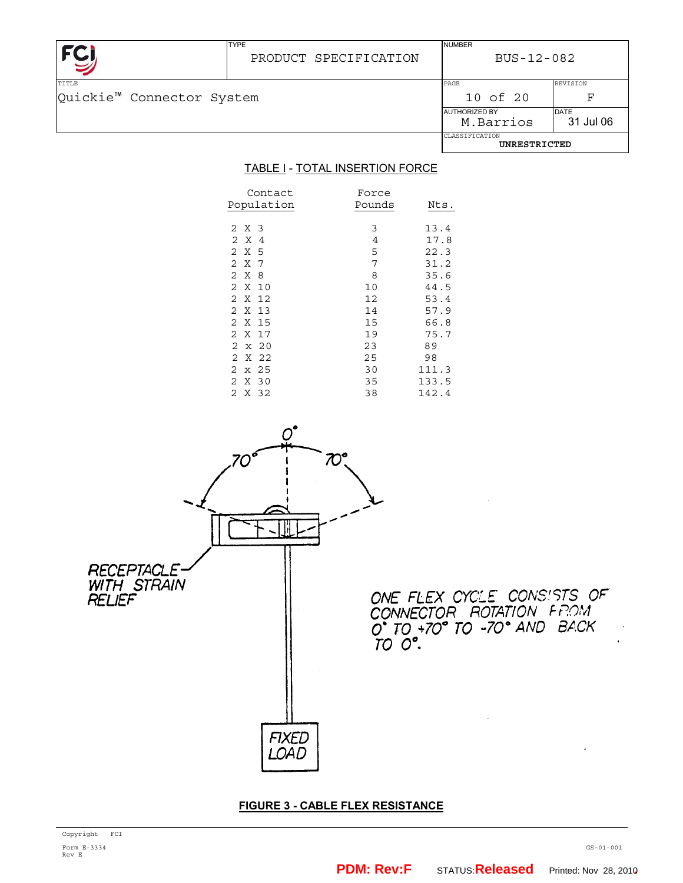|                                                       | <b>TYPE</b><br>PRODUCT SPECIFICATION | <b>NUMBER</b><br>BUS-12-082       |                          |
|-------------------------------------------------------|--------------------------------------|-----------------------------------|--------------------------|
| <b>TITLE</b><br>Quickie <sup>™</sup> Connector System |                                      | PAGE<br>10 of 20                  | <b>REVISION</b><br>ਸ਼ਾ   |
|                                                       |                                      | <b>AUTHORIZED BY</b><br>M.Barrios | <b>DATE</b><br>31 Jul 06 |
|                                                       |                                      | CLASSIFICATION<br>UNRESTRICTED    |                          |

# TABLE I - TOTAL INSERTION FORCE

| Contact<br>Population               | Force<br>Pounds | Nts.  |
|-------------------------------------|-----------------|-------|
| 2 X 3                               | 3               | 13.4  |
| X<br>$\mathcal{L}$<br>4             | 4               | 17.8  |
| X<br>2<br>5                         | 5               | 22.3  |
| 2<br>X<br>7                         | 7               | 31.2  |
| $\overline{2}$<br>X<br>8            | 8               | 35.6  |
| 2<br>X 10                           | 10              | 44.5  |
| $\mathcal{L}$<br>X 12               | 12              | 53.4  |
| $\mathcal{L}$<br>$\mathsf{X}$<br>13 | 14              | 57.9  |
| 2 X 15                              | 15              | 66.8  |
| 2 X 17                              | 19              | 75.7  |
| $2 \times 20$                       | 23              | 89    |
| 2 X 22                              | 25              | 98    |
| $2 \times 25$                       | 30              | 111.3 |
| 2 X 30                              | 35              | 133.5 |
| 2 X 32                              | 38              | 142.4 |



# **FIGURE 3 - CABLE FLEX RESISTANCE**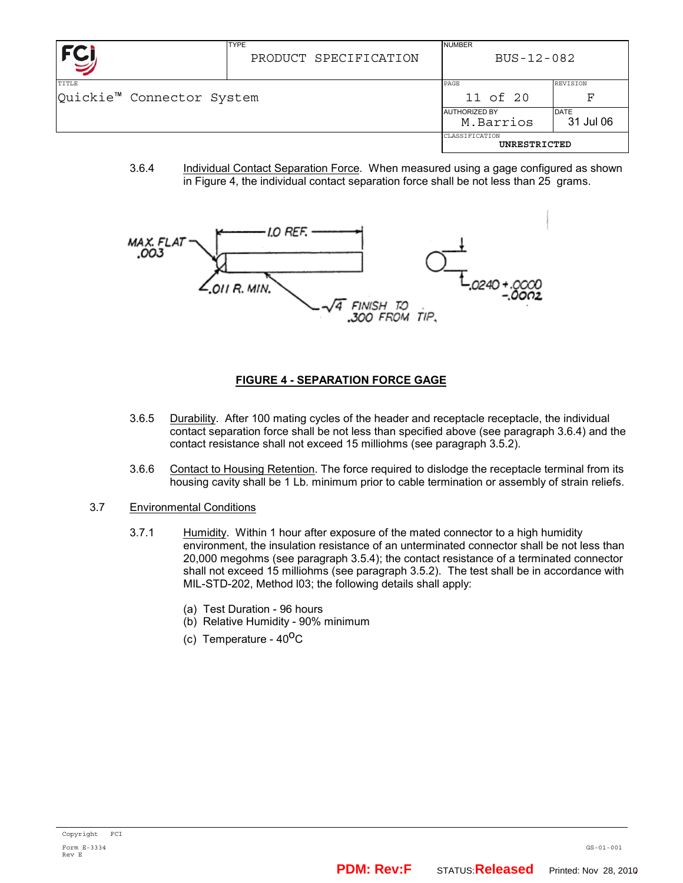|                                                | <b>TYPE</b><br>PRODUCT SPECIFICATION | <b>NUMBER</b><br>BUS-12-082       |                          |
|------------------------------------------------|--------------------------------------|-----------------------------------|--------------------------|
| TITLE<br>Quickie <sup>™</sup> Connector System |                                      | PAGE<br>11 of 20                  | REVISION<br>F            |
|                                                |                                      | <b>AUTHORIZED BY</b><br>M.Barrios | <b>DATE</b><br>31 Jul 06 |
|                                                |                                      | CLASSIFICATION<br>UNRESTRICTED    |                          |

3.6.4 Individual Contact Separation Force. When measured using a gage configured as shown in Figure 4, the individual contact separation force shall be not less than 25 grams.



# **FIGURE 4 - SEPARATION FORCE GAGE**

- 3.6.5 Durability. After 100 mating cycles of the header and receptacle receptacle, the individual contact separation force shall be not less than specified above (see paragraph 3.6.4) and the contact resistance shall not exceed 15 milliohms (see paragraph 3.5.2).
- 3.6.6 Contact to Housing Retention. The force required to dislodge the receptacle terminal from its housing cavity shall be 1 Lb. minimum prior to cable termination or assembly of strain reliefs.
- 3.7 Environmental Conditions
	- 3.7.1 Humidity. Within 1 hour after exposure of the mated connector to a high humidity environment, the insulation resistance of an unterminated connector shall be not less than 20,000 megohms (see paragraph 3.5.4); the contact resistance of a terminated connector shall not exceed 15 milliohms (see paragraph 3.5.2). The test shall be in accordance with MIL-STD-202, Method l03; the following details shall apply:
		- (a) Test Duration 96 hours
		- (b) Relative Humidity 90% minimum
		- (c) Temperature  $40^{\circ}$ C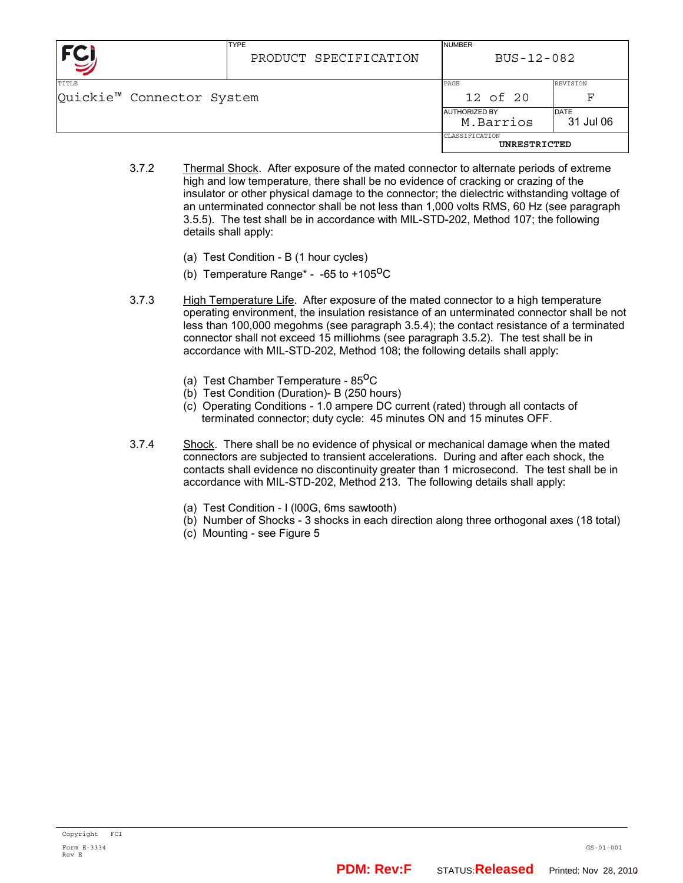|                                                | <b>TYPE</b><br>PRODUCT SPECIFICATION | <b>NUMBER</b><br>BUS-12-082       |                          |
|------------------------------------------------|--------------------------------------|-----------------------------------|--------------------------|
| TITLE<br>Quickie <sup>™</sup> Connector System |                                      | PAGE<br>12 of 20                  | <b>REVISION</b><br>F     |
|                                                |                                      | <b>AUTHORIZED BY</b><br>M.Barrios | <b>DATE</b><br>31 Jul 06 |
|                                                |                                      | CLASSIFICATION<br>UNRESTRICTED    |                          |

- 3.7.2 Thermal Shock. After exposure of the mated connector to alternate periods of extreme high and low temperature, there shall be no evidence of cracking or crazing of the insulator or other physical damage to the connector; the dielectric withstanding voltage of an unterminated connector shall be not less than 1,000 volts RMS, 60 Hz (see paragraph 3.5.5). The test shall be in accordance with MIL-STD-202, Method 107; the following details shall apply:
	- (a) Test Condition B (1 hour cycles)
	- (b) Temperature Range<sup>\*</sup> -65 to +105<sup>o</sup>C
- 3.7.3 High Temperature Life. After exposure of the mated connector to a high temperature operating environment, the insulation resistance of an unterminated connector shall be not less than 100,000 megohms (see paragraph 3.5.4); the contact resistance of a terminated connector shall not exceed 15 milliohms (see paragraph 3.5.2). The test shall be in accordance with MIL-STD-202, Method 108; the following details shall apply:
	- (a) Test Chamber Temperature  $85^{\circ}$ C
	- (b) Test Condition (Duration)- B (250 hours)
	- (c) Operating Conditions 1.0 ampere DC current (rated) through all contacts of terminated connector; duty cycle: 45 minutes ON and 15 minutes OFF.
- 3.7.4 Shock. There shall be no evidence of physical or mechanical damage when the mated connectors are subjected to transient accelerations. During and after each shock, the contacts shall evidence no discontinuity greater than 1 microsecond. The test shall be in accordance with MIL-STD-202, Method 213. The following details shall apply:
	- (a) Test Condition I (l00G, 6ms sawtooth)
	- (b) Number of Shocks 3 shocks in each direction along three orthogonal axes (18 total)
	- (c) Mounting see Figure 5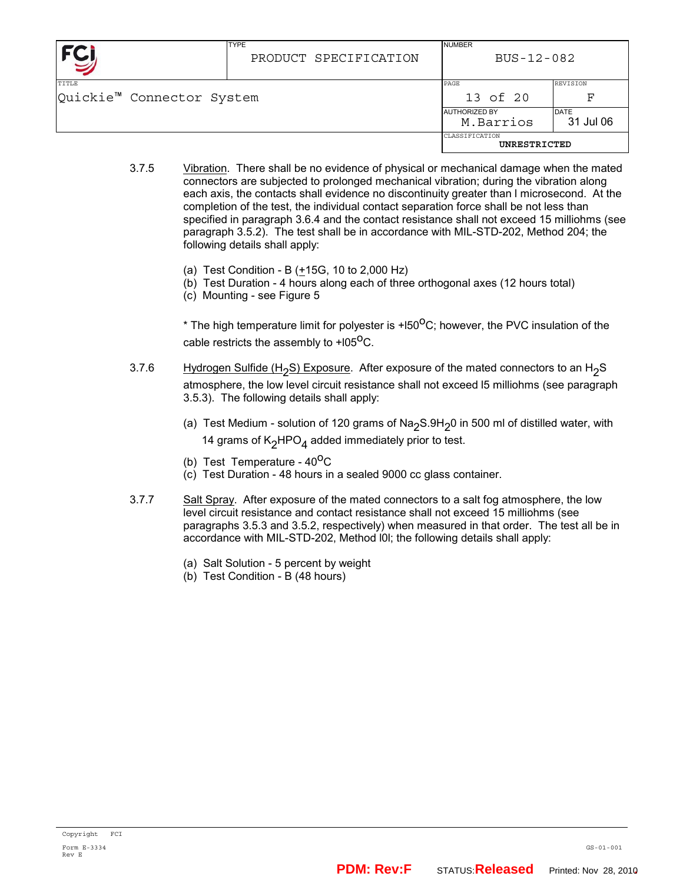|                                                       | <b>TYPE</b><br>PRODUCT SPECIFICATION | <b>NUMBER</b><br>BUS-12-082        |                          |
|-------------------------------------------------------|--------------------------------------|------------------------------------|--------------------------|
| <b>TITLE</b><br>Quickie <sup>™</sup> Connector System |                                      | PAGE<br>13 of 20                   | <b>REVISION</b><br>F     |
|                                                       |                                      | <b>JAUTHORIZED BY</b><br>M.Barrios | <b>DATE</b><br>31 Jul 06 |
|                                                       |                                      | CLASSIFICATION<br>UNRESTRICTED     |                          |

- 3.7.5 Vibration. There shall be no evidence of physical or mechanical damage when the mated connectors are subjected to prolonged mechanical vibration; during the vibration along each axis, the contacts shall evidence no discontinuity greater than l microsecond. At the completion of the test, the individual contact separation force shall be not less than specified in paragraph 3.6.4 and the contact resistance shall not exceed 15 milliohms (see paragraph 3.5.2). The test shall be in accordance with MIL-STD-202, Method 204; the following details shall apply:
	- (a) Test Condition B  $(+15G, 10$  to 2,000 Hz)
	- (b) Test Duration 4 hours along each of three orthogonal axes (12 hours total)
	- (c) Mounting see Figure 5

 $*$  The high temperature limit for polyester is +l50 ${}^{0}$ C; however, the PVC insulation of the cable restricts the assembly to  $+105^{\circ}$ C.

- 3.7.6 Hydrogen Sulfide  $(H<sub>2</sub>S)$  Exposure. After exposure of the mated connectors to an H<sub>2</sub>S atmosphere, the low level circuit resistance shall not exceed l5 milliohms (see paragraph 3.5.3). The following details shall apply:
	- (a) Test Medium solution of 120 grams of Na<sub>2</sub>S.9H<sub>2</sub>0 in 500 ml of distilled water, with 14 grams of  $K<sub>2</sub>HPO<sub>4</sub>$  added immediately prior to test.
	- (b) Test Temperature  $40^{\circ}$ C
	- (c) Test Duration 48 hours in a sealed 9000 cc glass container.
- 3.7.7 Salt Spray. After exposure of the mated connectors to a salt fog atmosphere, the low level circuit resistance and contact resistance shall not exceed 15 milliohms (see paragraphs 3.5.3 and 3.5.2, respectively) when measured in that order. The test all be in accordance with MIL-STD-202, Method l0l; the following details shall apply:
	- (a) Salt Solution 5 percent by weight
	- (b) Test Condition B (48 hours)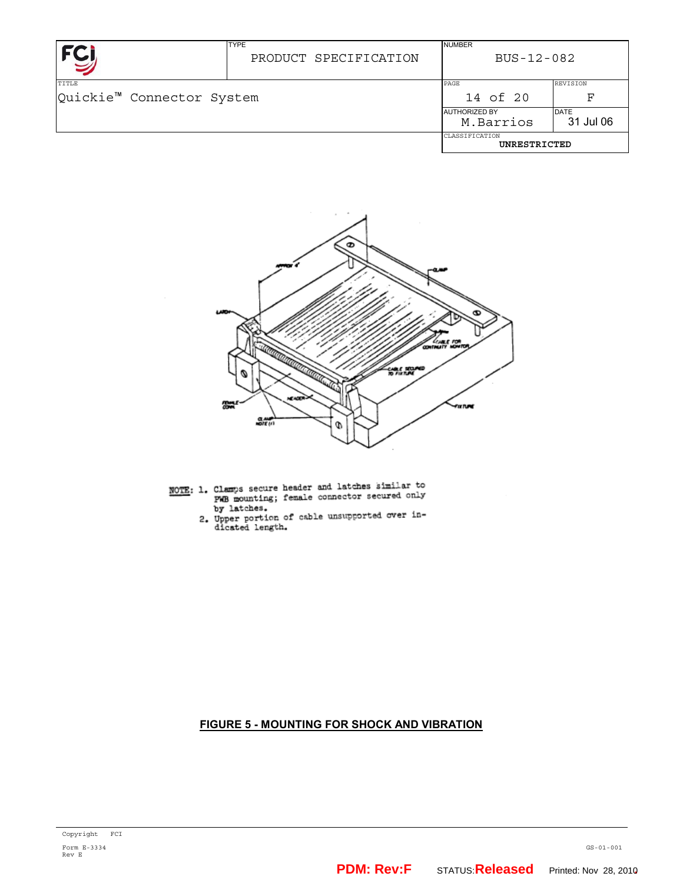|                                       | <b>TYPE</b><br>PRODUCT SPECIFICATION | <b>NUMBER</b><br>$BUS - 12 - 082$ |                 |
|---------------------------------------|--------------------------------------|-----------------------------------|-----------------|
| TITLE                                 |                                      | PAGE                              | <b>REVISION</b> |
| Quickie <sup>™</sup> Connector System |                                      | 14 of 20                          | ਸ਼ਾ             |
|                                       |                                      | <b>AUTHORIZED BY</b>              | <b>DATE</b>     |
|                                       |                                      | M.Barrios                         | 31 Jul 06       |
|                                       |                                      | CLASSIFICATION<br>UNRESTRICTED    |                 |



- NOTE: 1. Clamps secure header and latches similar to Clamps secure neader and radius similar by<br>PWB mounting; female connector secured only<br>by latches.
	- by latches.<br>2. Upper portion of cable unsupported over in-<br>dicated length.

# **FIGURE 5 - MOUNTING FOR SHOCK AND VIBRATION**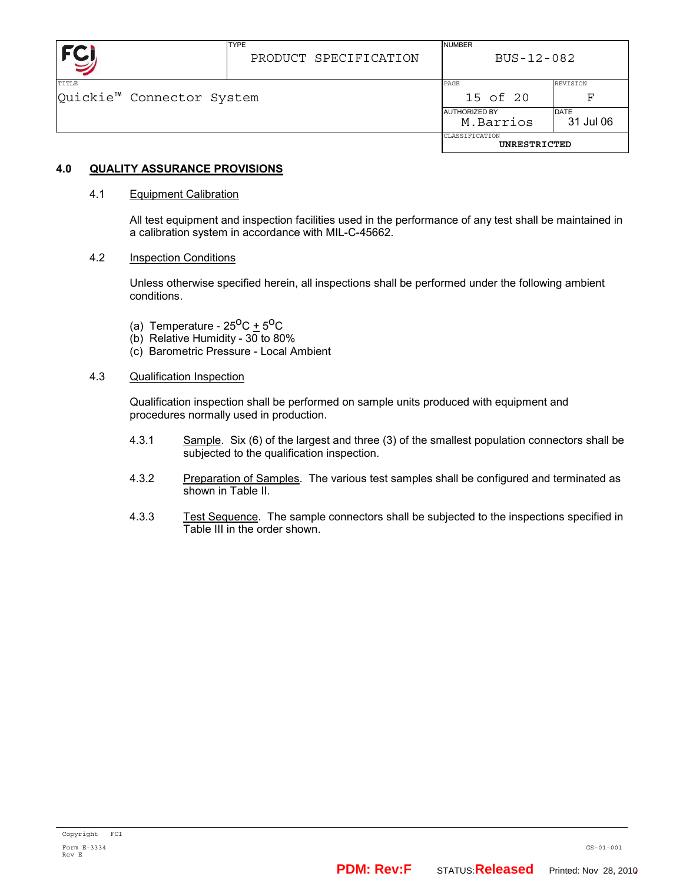|                                                       | <b>TYPE</b><br>PRODUCT SPECIFICATION | <b>NUMBER</b><br>BUS-12-082       |                          |
|-------------------------------------------------------|--------------------------------------|-----------------------------------|--------------------------|
| <b>TITLE</b><br>Quickie <sup>™</sup> Connector System |                                      | PAGE<br>15 of 20                  | <b>REVISION</b><br>F     |
|                                                       |                                      | <b>AUTHORIZED BY</b><br>M.Barrios | <b>DATE</b><br>31 Jul 06 |
|                                                       |                                      | CLASSIFICATION<br>UNRESTRICTED    |                          |

# **4.0 QUALITY ASSURANCE PROVISIONS**

### 4.1 Equipment Calibration

All test equipment and inspection facilities used in the performance of any test shall be maintained in a calibration system in accordance with MIL-C-45662.

### 4.2 Inspection Conditions

Unless otherwise specified herein, all inspections shall be performed under the following ambient conditions.

- (a) Temperature  $25^{\circ}$ C +  $5^{\circ}$ C
- (b) Relative Humidity 30 to 80%
- (c) Barometric Pressure Local Ambient
- 4.3 Qualification Inspection

Qualification inspection shall be performed on sample units produced with equipment and procedures normally used in production.

- 4.3.1 Sample. Six (6) of the largest and three (3) of the smallest population connectors shall be subjected to the qualification inspection.
- 4.3.2 Preparation of Samples. The various test samples shall be configured and terminated as shown in Table II.
- 4.3.3 Test Sequence. The sample connectors shall be subjected to the inspections specified in Table III in the order shown.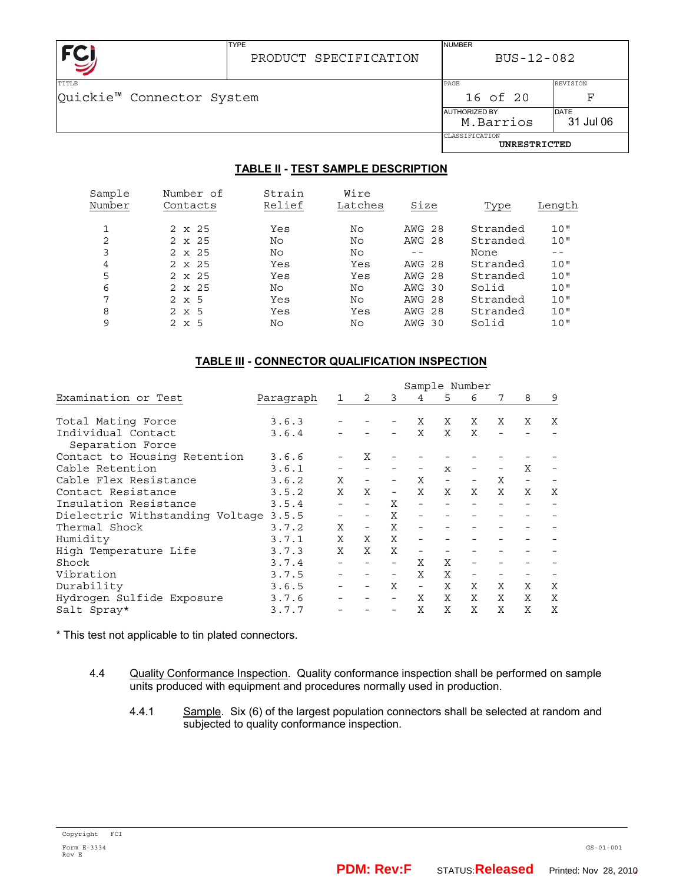

# PRODUCT SPECIFICATION

BUS-12-082

NUMBER

TYPE

| TTTLE                     |  | PAGE                 | REVISION  |
|---------------------------|--|----------------------|-----------|
| Quickie™ Connector System |  | 16 of 20             | ਸ਼        |
|                           |  | <b>AUTHORIZED BY</b> | DATE      |
|                           |  | M.Barrios            | 31 Jul 06 |
|                           |  | CLASSIFICATION       |           |
|                           |  | UNRESTRICTED         |           |

# **TABLE II - TEST SAMPLE DESCRIPTION**

| Sample<br>Number | Number of<br>Contacts | Strain<br>Relief | Wire<br>Latches | Size          | Type     | Length |
|------------------|-----------------------|------------------|-----------------|---------------|----------|--------|
|                  | $2 \times 25$         | Yes              | No              | <b>AWG 28</b> | Stranded | 10"    |
| 2                | $2 \times 25$         | No               | No              | <b>AWG 28</b> | Stranded | 10"    |
| 3                | $2 \times 25$         | No               | No              |               | None     | $- -$  |
| 4                | $2 \times 25$         | Yes              | Yes             | AWG 28        | Stranded | 10"    |
| 5                | $2 \times 25$         | Yes              | Yes             | <b>AWG 28</b> | Stranded | 10"    |
| 6                | $2 \times 25$         | No               | No              | AWG 30        | Solid    | 10"    |
| 7                | $2 \times 5$          | Yes              | No              | AWG 28        | Stranded | 10"    |
| 8                | $2 \times 5$          | Yes              | Yes             | <b>AWG 28</b> | Stranded | 10"    |
| 9                | $2 \times 5$          | No               | No              | AWG 30        | Solid    | 10"    |
|                  |                       |                  |                 |               |          |        |

### **TABLE III - CONNECTOR QUALIFICATION INSPECTION**

|                                       |           | Sample Number |                          |                          |                          |                          |                          |                          |                          |   |
|---------------------------------------|-----------|---------------|--------------------------|--------------------------|--------------------------|--------------------------|--------------------------|--------------------------|--------------------------|---|
| Examination or Test                   | Paragraph |               | 2                        | 3                        | 4                        | 5                        | 6                        | 7                        | 8                        | 9 |
|                                       |           |               |                          |                          |                          |                          |                          |                          |                          |   |
| Total Mating Force                    | 3.6.3     |               |                          |                          | X                        | Χ                        | X                        | X                        | Χ                        | Χ |
| Individual Contact                    | 3.6.4     |               |                          |                          | X                        | X                        | X                        | $\overline{\phantom{0}}$ |                          |   |
| Separation Force                      |           |               |                          |                          |                          |                          |                          |                          |                          |   |
| Contact to Housing Retention          | 3.6.6     |               | Χ                        |                          |                          |                          |                          |                          |                          |   |
| Cable Retention                       | 3.6.1     |               |                          |                          |                          | $\mathbf{x}$             |                          |                          | Χ                        |   |
| Cable Flex Resistance                 | 3.6.2     | X             |                          |                          | X                        | $\overline{\phantom{a}}$ |                          | X                        | $\overline{\phantom{a}}$ |   |
| Contact Resistance                    | 3.5.2     | X             | Χ                        | $\overline{\phantom{a}}$ | X                        | X                        | X                        | X                        | X                        | Χ |
| Insulation Resistance                 | 3.5.4     |               |                          | X                        |                          |                          |                          |                          |                          |   |
| Dielectric Withstanding Voltage 3.5.5 |           |               |                          | X                        |                          |                          |                          |                          |                          |   |
| Thermal Shock                         | 3.7.2     | Χ             | $\overline{\phantom{0}}$ | X                        |                          |                          |                          |                          |                          |   |
| Humidity                              | 3.7.1     | X             | X                        | X                        |                          |                          |                          |                          |                          |   |
| High Temperature Life                 | 3.7.3     | X             | X                        | X                        |                          |                          |                          |                          |                          |   |
| Shock                                 | 3.7.4     |               |                          |                          | X                        | X                        |                          |                          |                          |   |
| Vibration                             | 3.7.5     |               |                          |                          | X                        | X                        | $\overline{\phantom{m}}$ |                          |                          |   |
| Durability                            | 3.6.5     |               |                          | X                        | $\overline{\phantom{a}}$ | X                        | X                        | X                        | X                        | X |
| Hydrogen Sulfide Exposure             | 3.7.6     |               |                          |                          | X                        | X                        | X                        | X                        | X                        | X |
| Salt Spray*                           | 3.7.7     |               |                          |                          | X                        | X                        | X                        | X                        | X                        | X |

\* This test not applicable to tin plated connectors.

- 4.4 Quality Conformance Inspection. Quality conformance inspection shall be performed on sample units produced with equipment and procedures normally used in production.
	- 4.4.1 Sample. Six (6) of the largest population connectors shall be selected at random and subjected to quality conformance inspection.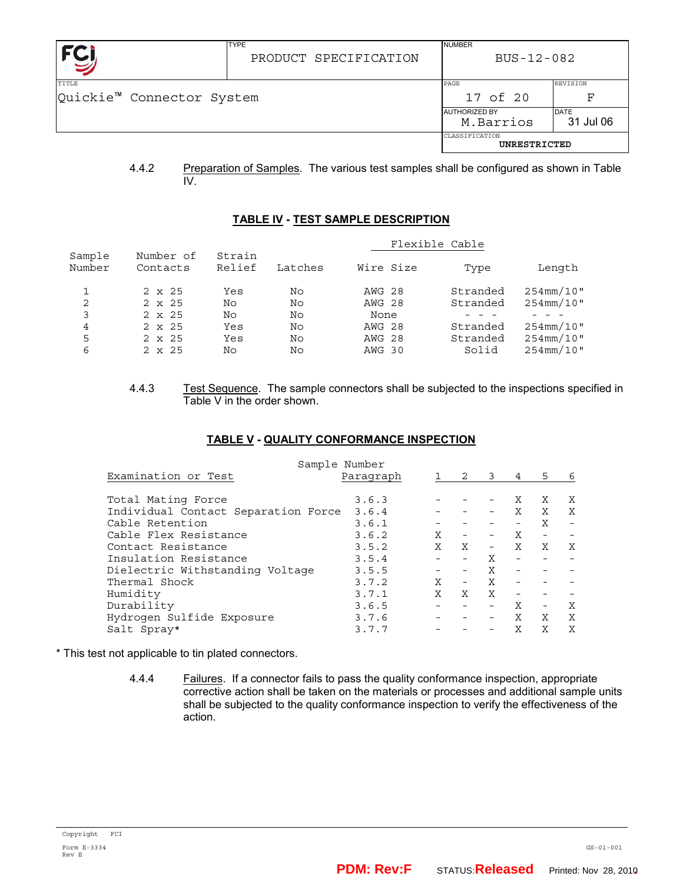|                                    | <b>TYPE</b><br>PRODUCT SPECIFICATION | <b>NUMBER</b><br>BUS-12-082       |                       |  |
|------------------------------------|--------------------------------------|-----------------------------------|-----------------------|--|
| TITLE<br>Quickie™ Connector System |                                      | PAGE<br>17 of 20                  | <b>REVISION</b><br>ਸ਼ |  |
|                                    |                                      | <b>AUTHORIZED BY</b><br>M.Barrios | DATE<br>31 Jul 06     |  |
|                                    |                                      | CLASSIFICATION<br>UNRESTRICTED    |                       |  |

4.4.2 Preparation of Samples. The various test samples shall be configured as shown in Table IV.

### **TABLE IV - TEST SAMPLE DESCRIPTION**

|                  |                       |                  |         |               | Flexible Cable |                  |
|------------------|-----------------------|------------------|---------|---------------|----------------|------------------|
| Sample<br>Number | Number of<br>Contacts | Strain<br>Relief | Latches | Wire Size     | Type           | Length           |
|                  | $2 \times 25$         | Yes              | No      | AWG 28        | Stranded       | $254$ mm/10"     |
| 2                | $2 \times 25$         | No               | No      | <b>AWG 28</b> | Stranded       | $254$ mm $/10$ " |
| 3                | $2 \times 25$         | No               | No      | None          |                |                  |
| 4                | $2 \times 25$         | Yes              | No      | <b>AWG 28</b> | Stranded       | $254$ mm/10"     |
| 5                | $2 \times 25$         | Yes              | No      | AWG 28        | Stranded       | $254$ mm $/10$ " |
| 6                | $2 \times 25$         | No               | No      | AWG 30        | Solid          | $254$ mm $/10$ " |

4.4.3 Test Sequence. The sample connectors shall be subjected to the inspections specified in Table V in the order shown.

| Sample Number                       |           |   |                          |                          |              |                          |   |  |
|-------------------------------------|-----------|---|--------------------------|--------------------------|--------------|--------------------------|---|--|
| Examination or Test                 | Paragraph |   | 2                        | 3                        | 4            | 5.                       | 6 |  |
|                                     |           |   |                          |                          |              |                          |   |  |
| Total Mating Force                  | 3.6.3     |   |                          |                          | X            | X                        | X |  |
| Individual Contact Separation Force | 3.6.4     |   |                          |                          | X            | X                        | X |  |
| Cable Retention                     | 3.6.1     |   |                          |                          |              | X                        |   |  |
| Cable Flex Resistance               | 3.6.2     | X |                          |                          | X            |                          |   |  |
| Contact Resistance                  | 3.5.2     | X | X                        | $\overline{\phantom{a}}$ | $\mathsf{X}$ | X                        | Χ |  |
| Insulation Resistance               | 3.5.4     |   | $\overline{\phantom{a}}$ | X                        |              |                          |   |  |
| Dielectric Withstanding Voltage     | 3.5.5     |   | $\overline{\phantom{a}}$ | X                        |              |                          |   |  |
| Thermal Shock                       | 3.7.2     | X | $\overline{\phantom{a}}$ | X                        |              |                          |   |  |
| Humidity                            | 3.7.1     | X | X                        | X                        |              |                          |   |  |
| Durability                          | 3.6.5     |   |                          |                          | X            | $\overline{\phantom{0}}$ | X |  |
| Hydrogen Sulfide Exposure           | 3.7.6     |   |                          |                          | X            | X                        | X |  |
| Salt Spray*                         | 3.7.7     |   |                          |                          | X            | X                        | X |  |

\* This test not applicable to tin plated connectors.

4.4.4 Failures. If a connector fails to pass the quality conformance inspection, appropriate corrective action shall be taken on the materials or processes and additional sample units shall be subjected to the quality conformance inspection to verify the effectiveness of the action.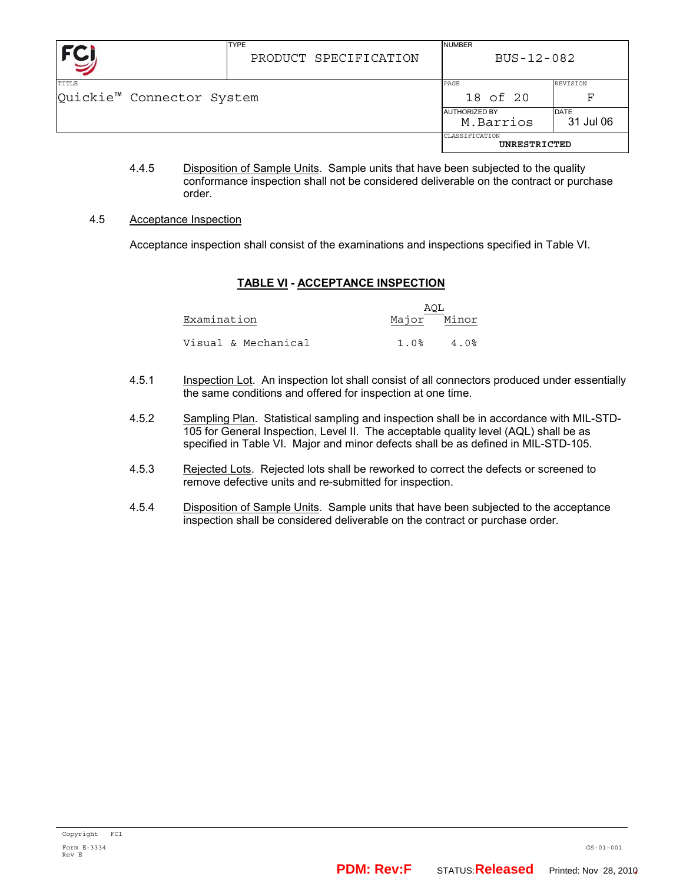|                                           | <b>TYPE</b><br>PRODUCT SPECIFICATION | <b>NUMBER</b><br>BUS-12-082       |                   |  |
|-------------------------------------------|--------------------------------------|-----------------------------------|-------------------|--|
| <b>TITLE</b><br>Quickie™ Connector System | PAGE<br>18 of 20                     | <b>REVISION</b><br>F              |                   |  |
|                                           |                                      | <b>AUTHORIZED BY</b><br>M.Barrios | DATE<br>31 Jul 06 |  |
|                                           |                                      | CLASSIFICATION<br>UNRESTRICTED    |                   |  |

4.4.5 Disposition of Sample Units. Sample units that have been subjected to the quality conformance inspection shall not be considered deliverable on the contract or purchase order.

### 4.5 Acceptance Inspection

Acceptance inspection shall consist of the examinations and inspections specified in Table VI.

# **TABLE VI - ACCEPTANCE INSPECTION**

|                     | AQL |             |
|---------------------|-----|-------------|
| Examination         |     | Major Minor |
| Visual & Mechanical |     | 4. በ%       |

- 4.5.1 Inspection Lot. An inspection lot shall consist of all connectors produced under essentially the same conditions and offered for inspection at one time.
- 4.5.2 Sampling Plan. Statistical sampling and inspection shall be in accordance with MIL-STD-105 for General Inspection, Level II. The acceptable quality level (AQL) shall be as specified in Table VI. Major and minor defects shall be as defined in MIL-STD-105.
- 4.5.3 Rejected Lots. Rejected lots shall be reworked to correct the defects or screened to remove defective units and re-submitted for inspection.
- 4.5.4 Disposition of Sample Units. Sample units that have been subjected to the acceptance inspection shall be considered deliverable on the contract or purchase order.